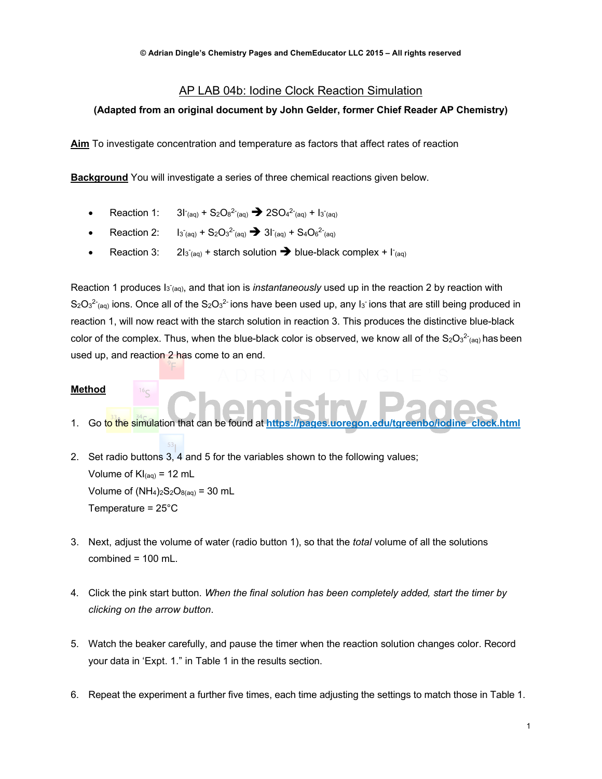# AP LAB 04b: Iodine Clock Reaction Simulation

#### **(Adapted from an original document by John Gelder, former Chief Reader AP Chemistry)**

**Aim** To investigate concentration and temperature as factors that affect rates of reaction

**Background** You will investigate a series of three chemical reactions given below.

- Reaction 1:  $(aq) + S_2O_8^2$ <sup>2-</sup> $(aq) \rightarrow 2SO_4^2$ <sup>2-</sup> $(aq) + I_3$ <sup>-</sup> $(aq)$
- Reaction 2:  $T_{(aq)} + S_2O_3^2$ <sup>2</sup> $(aq) \rightarrow 31$ <sup>2</sup> $(aq) + S_4O_6^2$ <sup>2</sup> $(aq)$
- Reaction 3:  $T_{(aq)}$  + starch solution  $\rightarrow$  blue-black complex +  $\Gamma_{(aq)}$

Reaction 1 produces I<sub>3<sup>-</sup>(aq)</sub>, and that ion is *instantaneously* used up in the reaction 2 by reaction with  $S_2O_3^2$ <sub>(aq)</sub> ions. Once all of the S<sub>2</sub>O<sub>3</sub><sup>2</sup> ions have been used up, any I<sub>3</sub> ions that are still being produced in reaction 1, will now react with the starch solution in reaction 3. This produces the distinctive blue-black color of the complex. Thus, when the blue-black color is observed, we know all of the  $S_2O_3^{2-}$  (aq) has been used up, and reaction 2 has come to an end.

### **Method**

1. Go to the simulation that can be found at **https://pages.uoregon.edu/tgreenbo/iodine\_clock.html**

2. Set radio buttons 3, 4 and 5 for the variables shown to the following values; Volume of  $KI_{(aq)} = 12$  mL Volume of  $(NH_4)_2S_2O_{8(aq)} = 30$  mL Temperature = 25°C

- 3. Next, adjust the volume of water (radio button 1), so that the *total* volume of all the solutions combined  $= 100$  mL.
- 4. Click the pink start button. *When the final solution has been completely added, start the timer by clicking on the arrow button*.
- 5. Watch the beaker carefully, and pause the timer when the reaction solution changes color. Record your data in 'Expt. 1." in Table 1 in the results section.
- 6. Repeat the experiment a further five times, each time adjusting the settings to match those in Table 1.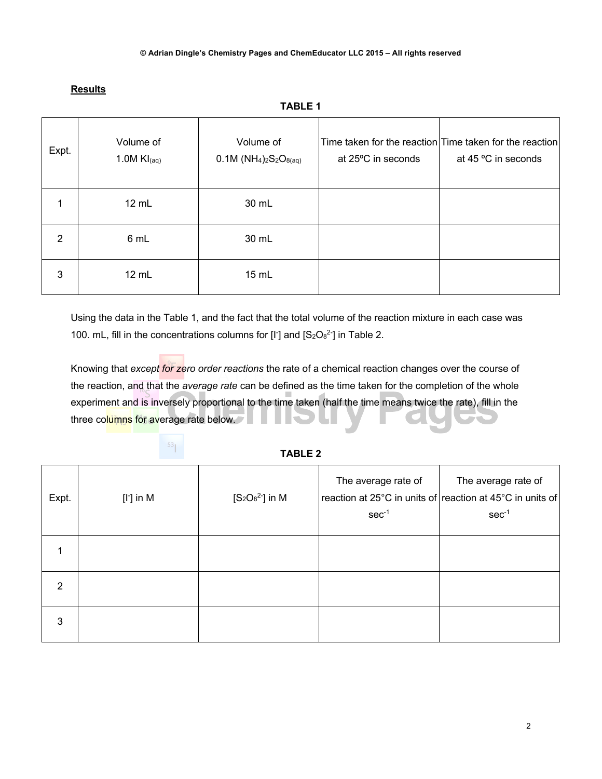| Expt. | Volume of<br>1.0M $Kl_{(aq)}$ | Volume of<br>$0.1M (NH4)2S2O8(aq)$ | at 25°C in seconds | Time taken for the reaction Time taken for the reaction<br>at 45 °C in seconds |
|-------|-------------------------------|------------------------------------|--------------------|--------------------------------------------------------------------------------|
|       | 12 mL                         | 30 mL                              |                    |                                                                                |
| 2     | 6 mL                          | 30 mL                              |                    |                                                                                |
| 3     | 12 mL                         | 15 mL                              |                    |                                                                                |

# **Results**

**TABLE 1**

Using the data in the Table 1, and the fact that the total volume of the reaction mixture in each case was 100. mL, fill in the concentrations columns for  $[I]$  and  $[S_2O_8^2]$  in Table 2.

Knowing that *except for zero order reactions* the rate of a chemical reaction changes over the course of the reaction, and that the *average rate* can be defined as the time taken for the completion of the whole experiment and is inversely proportional to the time taken (half the time means twice the rate), fill in the three columns for average rate below.

# $53<sub>1</sub>$

## **TABLE 2**

| Expt.          | $[I^r]$ in M | $[S_2O_8^2]$ in M | The average rate of<br>$sec-1$ | The average rate of<br>reaction at 25°C in units of reaction at 45°C in units of<br>$sec-1$ |
|----------------|--------------|-------------------|--------------------------------|---------------------------------------------------------------------------------------------|
|                |              |                   |                                |                                                                                             |
| $\overline{2}$ |              |                   |                                |                                                                                             |
| 3              |              |                   |                                |                                                                                             |